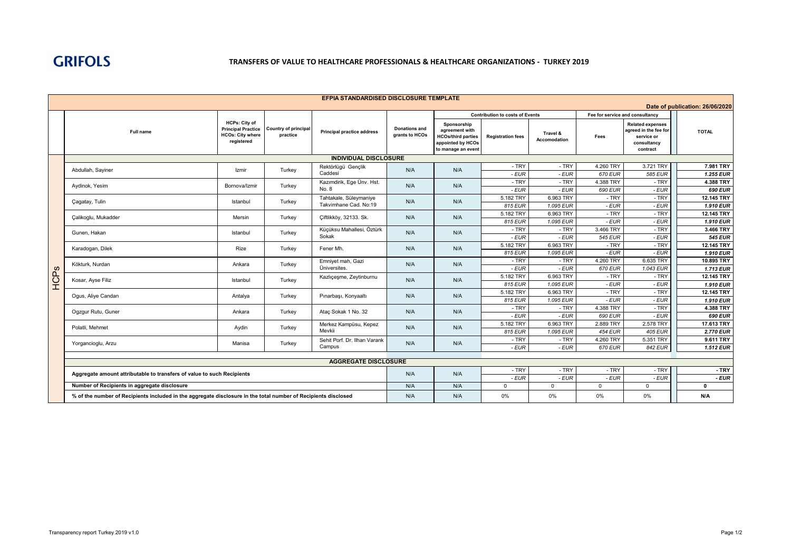

## **TRANSFERS OF VALUE TO HEALTHCARE PROFESSIONALS & HEALTHCARE ORGANIZATIONS - TURKEY 2019**

|      | EFPIA STANDARDISED DISCLOSURE TEMPLATE                                                                         |                                                                                            |                                         |                                                     |                                        |                                                                                                       |                          |                                 |                                 |                                                                                           |                              |
|------|----------------------------------------------------------------------------------------------------------------|--------------------------------------------------------------------------------------------|-----------------------------------------|-----------------------------------------------------|----------------------------------------|-------------------------------------------------------------------------------------------------------|--------------------------|---------------------------------|---------------------------------|-------------------------------------------------------------------------------------------|------------------------------|
|      | Date of publication: 26/06/2020                                                                                |                                                                                            |                                         |                                                     |                                        |                                                                                                       |                          |                                 |                                 |                                                                                           |                              |
|      |                                                                                                                |                                                                                            |                                         |                                                     |                                        | <b>Contribution to costs of Events</b>                                                                |                          |                                 | Fee for service and consultancy |                                                                                           |                              |
|      | <b>Full name</b>                                                                                               | <b>HCPs: City of</b><br><b>Principal Practice</b><br><b>HCOs: City where</b><br>registered | <b>Country of principal</b><br>practice | <b>Principal practice address</b>                   | <b>Donations and</b><br>grants to HCOs | Sponsorship<br>agreement with<br><b>HCOs/third parties</b><br>appointed by HCOs<br>to manage an event | <b>Registration fees</b> | Travel &<br><b>Accomodation</b> | Fees                            | <b>Related expenses</b><br>agreed in the fee for<br>service or<br>consultancy<br>contract | <b>TOTAL</b>                 |
|      |                                                                                                                | <b>INDIVIDUAL DISCLOSURE</b>                                                               |                                         |                                                     |                                        |                                                                                                       |                          |                                 |                                 |                                                                                           |                              |
|      | Abdullah, Sayiner                                                                                              | Izmir                                                                                      | Turkey                                  | Rektörlügü Gençlik<br>Caddesi                       | N/A                                    | N/A                                                                                                   | $-TRY$                   | - TRY                           | 4.260 TRY                       | 3.721 TRY                                                                                 | 7.981 TRY                    |
|      |                                                                                                                |                                                                                            |                                         |                                                     |                                        |                                                                                                       | - EUR                    | - EUR                           | 670 EUR                         | 585 EUR                                                                                   | <b>1.255 EUR</b>             |
|      | Aydinok, Yesim                                                                                                 | Bornova/Izmir                                                                              | Turkey                                  | Kazımdirik, Ege Ünv. Hst.<br>No. 8                  | N/A                                    | N/A                                                                                                   | $-TRY$                   | - TRY                           | 4.388 TRY                       | - TRY                                                                                     | 4.388 TRY                    |
|      |                                                                                                                |                                                                                            |                                         |                                                     |                                        |                                                                                                       | $-EUR$                   | - EUR                           | 690 EUR                         | $-EUR$                                                                                    | 690 EUR                      |
|      | Çagatay, Tulin                                                                                                 | Istanbul                                                                                   | Turkey                                  | Tahtakale, Süleymaniye<br>Takvimhane Cad, No:19     | N/A                                    | N/A                                                                                                   | 5.182 TRY                | 6.963 TRY                       | - TRY                           | - TRY                                                                                     | 12.145 TRY                   |
|      |                                                                                                                |                                                                                            |                                         |                                                     |                                        |                                                                                                       | 815 EUR                  | 1.095 EUR                       | $-EUR$                          | $-EUR$                                                                                    | 1.910 EUR                    |
|      | Calikoglu, Mukadder                                                                                            | Mersin                                                                                     | Turkey<br>Turkey                        | Ciftlikköy, 32133. Sk.<br>Küçüksu Mahallesi, Öztürk | N/A                                    | N/A                                                                                                   | 5.182 TRY                | 6.963 TRY                       | - TRY                           | - TRY                                                                                     | 12.145 TRY                   |
|      |                                                                                                                |                                                                                            |                                         |                                                     |                                        |                                                                                                       | 815 EUR                  | 1.095 EUR                       | $-EUR$                          | $-EUR$                                                                                    | 1.910 EUR                    |
|      | Gunen, Hakan                                                                                                   | Istanbul                                                                                   |                                         |                                                     | N/A                                    | N/A                                                                                                   | - TRY                    | - TRY                           | 3.466 TRY                       | - TRY                                                                                     | 3.466 TRY                    |
|      |                                                                                                                |                                                                                            |                                         | Sokak                                               |                                        |                                                                                                       | $-EUR$<br>5.182 TRY      | $-EUR$<br>6.963 TRY             | 545 EUR<br>$-TRY$               | $-EUR$<br>$-$ TRY                                                                         | <b>545 EUR</b><br>12.145 TRY |
|      | Karadogan, Dilek                                                                                               | Rize                                                                                       | Turkey                                  | Fener Mh.                                           | N/A                                    | N/A                                                                                                   | 815 EUR                  | 1.095 EUR                       | - EUR                           | $-EUR$                                                                                    | 1.910 EUR                    |
|      | Kökturk, Nurdan                                                                                                | Ankara                                                                                     | Turkey                                  | Emniyet mah, Gazi<br>Üniversites.                   | N/A                                    | N/A                                                                                                   | - TRY                    | - TRY                           | 4.260 TRY                       | 6.635 TRY                                                                                 | 10.895 TRY                   |
|      |                                                                                                                |                                                                                            |                                         |                                                     |                                        |                                                                                                       | $-EUR$                   | $-EUR$                          | 670 EUR                         | 1.043 EUR                                                                                 | <b>1.713 EUR</b>             |
|      | Kosar, Ayse Filiz                                                                                              | Istanbul                                                                                   | Turkey                                  | Kazlıçeşme, Zeytinburnu                             | N/A                                    | N/A                                                                                                   | 5.182 TRY                | 6.963 TRY                       | - TRY                           | - TRY                                                                                     | 12.145 TRY                   |
| HCPs |                                                                                                                |                                                                                            |                                         |                                                     |                                        |                                                                                                       | 815 EUR                  | 1.095 EUR                       | $-EUR$                          | $-EUR$                                                                                    | 1.910 EUR                    |
|      | Ogus, Aliye Candan                                                                                             | Antalya                                                                                    | Turkey                                  | Pınarbaşı, Konyaaltı                                | N/A                                    | N/A                                                                                                   | 5.182 TRY                | 6.963 TRY                       | - TRY                           | - TRY                                                                                     | 12.145 TRY                   |
|      |                                                                                                                |                                                                                            |                                         |                                                     |                                        |                                                                                                       | 815 EUR                  | 1.095 EUR                       | - EUR                           | $-EUR$                                                                                    | 1.910 EUR                    |
|      | Ogzgur Rutu, Guner                                                                                             | Ankara                                                                                     | Turkey                                  | Ataç Sokak 1 No. 32                                 | N/A                                    | N/A                                                                                                   | - TRY                    | - TRY                           | 4.388 TRY                       | - TRY                                                                                     | 4.388 TRY                    |
|      |                                                                                                                |                                                                                            |                                         |                                                     |                                        |                                                                                                       | $-EUR$                   | $-EUR$                          | 690 EUR                         | $-EUR$                                                                                    | 690 EUR                      |
|      | Polatli, Mehmet                                                                                                | Aydin                                                                                      | Turkey                                  | Merkez Kampüsu, Kepez<br>Mevkii                     | N/A                                    | N/A                                                                                                   | 5.182 TRY                | 6.963 TRY                       | 2.889 TRY                       | 2.578 TRY                                                                                 | 17.613 TRY                   |
|      |                                                                                                                |                                                                                            |                                         |                                                     |                                        |                                                                                                       | 815 EUR                  | 1.095 EUR                       | <b>454 EUR</b>                  | <b>405 EUR</b>                                                                            | 2.770 EUR                    |
|      | Yorgancioglu, Arzu                                                                                             | Manisa                                                                                     | Turkey                                  | Sehit Porf, Dr. Ilhan Varank<br>Campus              | N/A                                    | N/A                                                                                                   | - TRY                    | - TRY                           | 4.260 TRY                       | 5.351 TRY                                                                                 | 9.611 TRY                    |
|      |                                                                                                                |                                                                                            |                                         |                                                     |                                        |                                                                                                       | $-EUR$                   | - EUR                           | 670 EUR                         | 842 EUR                                                                                   | 1.512 EUR                    |
|      |                                                                                                                |                                                                                            |                                         |                                                     |                                        |                                                                                                       |                          |                                 |                                 |                                                                                           |                              |
|      |                                                                                                                |                                                                                            |                                         | <b>AGGREGATE DISCLOSURE</b>                         |                                        |                                                                                                       |                          |                                 |                                 |                                                                                           |                              |
|      | Aggregate amount attributable to transfers of value to such Recipients                                         |                                                                                            |                                         |                                                     | N/A                                    | N/A                                                                                                   | - TRY<br>$-EUR$          | - TRY<br>$-EUR$                 | - TRY<br>$-EUR$                 | - TRY<br>$-EUR$                                                                           | $-TRY$<br>- EUR              |
|      | Number of Recipients in aggregate disclosure                                                                   |                                                                                            |                                         |                                                     |                                        | N/A                                                                                                   | $\Omega$                 | $\Omega$                        | $\Omega$                        | $\Omega$                                                                                  | $\Omega$                     |
|      | % of the number of Recipients included in the aggregate disclosure in the total number of Recipients disclosed |                                                                                            |                                         |                                                     | N/A<br>N/A                             | N/A                                                                                                   | $0\%$                    | 0%                              | $0\%$                           | 0%                                                                                        | N/A                          |